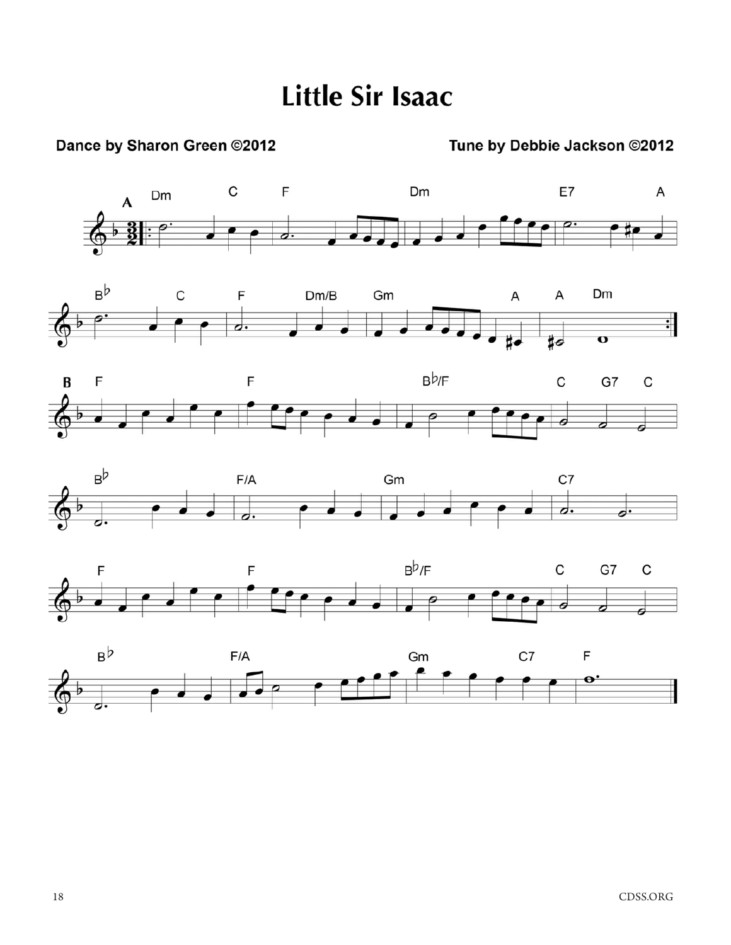# **Little Sir Isaac**

### Dance by Sharon Green ©2012

### Tune by Debbie Jackson @2012